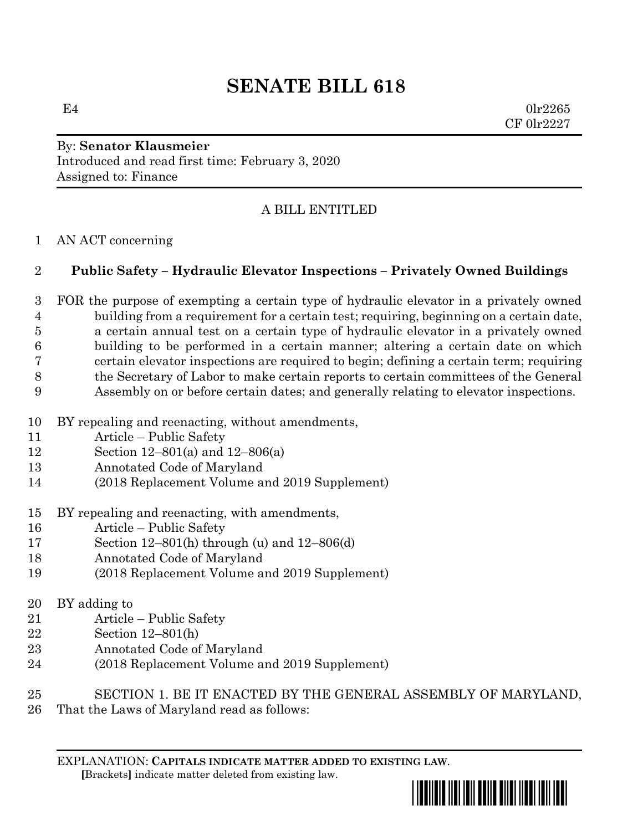# **SENATE BILL 618**

 $E4$  0lr2265 CF 0lr2227

### By: **Senator Klausmeier** Introduced and read first time: February 3, 2020 Assigned to: Finance

# A BILL ENTITLED

#### AN ACT concerning

## **Public Safety – Hydraulic Elevator Inspections – Privately Owned Buildings**

 FOR the purpose of exempting a certain type of hydraulic elevator in a privately owned building from a requirement for a certain test; requiring, beginning on a certain date, a certain annual test on a certain type of hydraulic elevator in a privately owned building to be performed in a certain manner; altering a certain date on which certain elevator inspections are required to begin; defining a certain term; requiring the Secretary of Labor to make certain reports to certain committees of the General Assembly on or before certain dates; and generally relating to elevator inspections.

- BY repealing and reenacting, without amendments,
- Article Public Safety
- Section 12–801(a) and 12–806(a)
- Annotated Code of Maryland
- (2018 Replacement Volume and 2019 Supplement)
- BY repealing and reenacting, with amendments,
- Article Public Safety
- Section 12–801(h) through (u) and 12–806(d)
- Annotated Code of Maryland
- (2018 Replacement Volume and 2019 Supplement)
- BY adding to
- Article Public Safety
- Section 12–801(h)
- Annotated Code of Maryland
- (2018 Replacement Volume and 2019 Supplement)
- SECTION 1. BE IT ENACTED BY THE GENERAL ASSEMBLY OF MARYLAND,
- That the Laws of Maryland read as follows:

EXPLANATION: **CAPITALS INDICATE MATTER ADDED TO EXISTING LAW**.  **[**Brackets**]** indicate matter deleted from existing law.

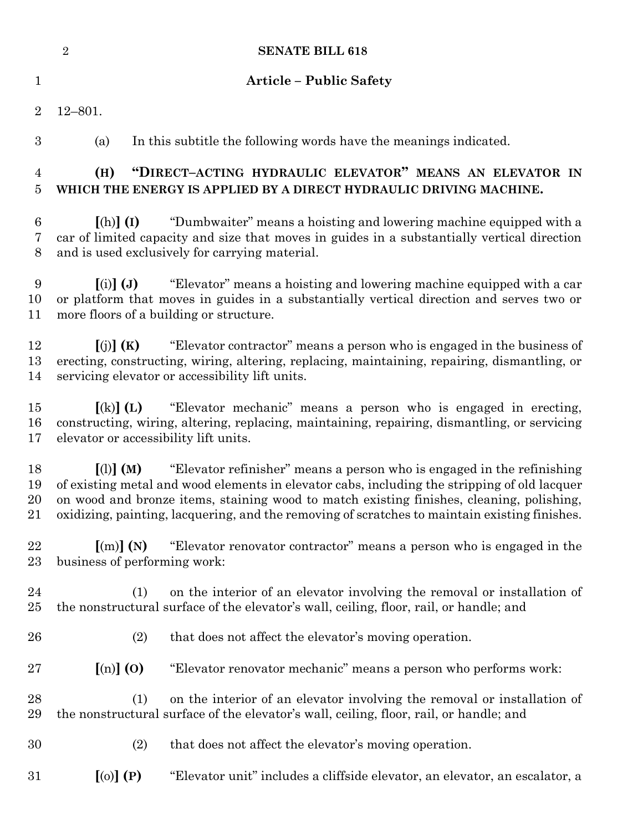|                            | $\sqrt{2}$<br><b>SENATE BILL 618</b>                                                                                                                                                                                                                                                                                                                                                             |
|----------------------------|--------------------------------------------------------------------------------------------------------------------------------------------------------------------------------------------------------------------------------------------------------------------------------------------------------------------------------------------------------------------------------------------------|
| $\mathbf{1}$               | <b>Article - Public Safety</b>                                                                                                                                                                                                                                                                                                                                                                   |
| $\overline{2}$             | $12 - 801.$                                                                                                                                                                                                                                                                                                                                                                                      |
| $\boldsymbol{3}$           | In this subtitle the following words have the meanings indicated.<br>(a)                                                                                                                                                                                                                                                                                                                         |
| $\overline{4}$<br>5        | "DIRECT-ACTING HYDRAULIC ELEVATOR" MEANS AN ELEVATOR IN<br>(H)<br>WHICH THE ENERGY IS APPLIED BY A DIRECT HYDRAULIC DRIVING MACHINE.                                                                                                                                                                                                                                                             |
| $\boldsymbol{6}$<br>7<br>8 | "Dumbwaiter" means a hoisting and lowering machine equipped with a<br>$[(h)]$ $(I)$<br>car of limited capacity and size that moves in guides in a substantially vertical direction<br>and is used exclusively for carrying material.                                                                                                                                                             |
| $9\,$<br>10<br>11          | "Elevator" means a hoisting and lowering machine equipped with a car<br>$(i)$ $(j)$<br>or platform that moves in guides in a substantially vertical direction and serves two or<br>more floors of a building or structure.                                                                                                                                                                       |
| 12<br>13<br>14             | "Elevator contractor" means a person who is engaged in the business of<br>[(j)](K)<br>erecting, constructing, wiring, altering, replacing, maintaining, repairing, dismantling, or<br>servicing elevator or accessibility lift units.                                                                                                                                                            |
| 15<br>16<br>17             | "Elevator mechanic" means a person who is engaged in erecting,<br>$\left[ \mathrm{(k)}\right]$ (L)<br>constructing, wiring, altering, replacing, maintaining, repairing, dismantling, or servicing<br>elevator or accessibility lift units.                                                                                                                                                      |
| 18<br>19<br>20<br>21       | "Elevator refinisher" means a person who is engaged in the refinishing<br>$\lceil$ (1) $\lceil$ (M)<br>of existing metal and wood elements in elevator cabs, including the stripping of old lacquer<br>on wood and bronze items, staining wood to match existing finishes, cleaning, polishing,<br>oxidizing, painting, lacquering, and the removing of scratches to maintain existing finishes. |
| 22<br>23                   | "Elevator renovator contractor" means a person who is engaged in the<br>$\lceil$ (m) $\rceil$ (N)<br>business of performing work:                                                                                                                                                                                                                                                                |
| 24<br>25                   | on the interior of an elevator involving the removal or installation of<br>(1)<br>the nonstructural surface of the elevator's wall, ceiling, floor, rail, or handle; and                                                                                                                                                                                                                         |
| 26                         | (2)<br>that does not affect the elevator's moving operation.                                                                                                                                                                                                                                                                                                                                     |
| 27                         | $\left[\text{(n)}\right]$ (0)<br>"Elevator renovator mechanic" means a person who performs work:                                                                                                                                                                                                                                                                                                 |
| 28<br>29                   | on the interior of an elevator involving the removal or installation of<br>(1)<br>the nonstructural surface of the elevator's wall, ceiling, floor, rail, or handle; and                                                                                                                                                                                                                         |
| 30                         | (2)<br>that does not affect the elevator's moving operation.                                                                                                                                                                                                                                                                                                                                     |
| 31                         | $[0(0)]$ $(P)$<br>"Elevator unit" includes a cliffside elevator, an elevator, an escalator, a                                                                                                                                                                                                                                                                                                    |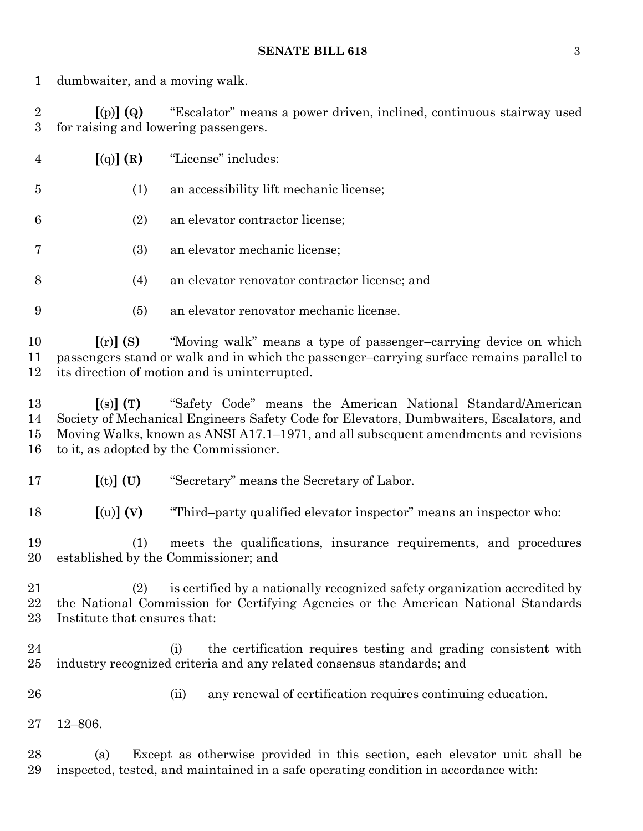dumbwaiter, and a moving walk.

 **[**(p)**] (Q)** "Escalator" means a power driven, inclined, continuous stairway used for raising and lowering passengers.

| $\overline{4}$ |     | $\left[\text{(q)}\right]$ (R) "License" includes: |
|----------------|-----|---------------------------------------------------|
| 5              | (1) | an accessibility lift mechanic license;           |
| 6              | (2) | an elevator contractor license;                   |
| 7              | (3) | an elevator mechanic license;                     |
| 8              | (4) | an elevator renovator contractor license; and     |
| 9              | (5) | an elevator renovator mechanic license.           |

 **[**(r)**] (S)** "Moving walk" means a type of passenger–carrying device on which passengers stand or walk and in which the passenger–carrying surface remains parallel to its direction of motion and is uninterrupted.

 **[**(s)**] (T)** "Safety Code" means the American National Standard/American Society of Mechanical Engineers Safety Code for Elevators, Dumbwaiters, Escalators, and Moving Walks, known as ANSI A17.1–1971, and all subsequent amendments and revisions to it, as adopted by the Commissioner.

**[**(t)**] (U)** "Secretary" means the Secretary of Labor.

**[**(u)**] (V)** "Third–party qualified elevator inspector" means an inspector who:

 (1) meets the qualifications, insurance requirements, and procedures established by the Commissioner; and

 (2) is certified by a nationally recognized safety organization accredited by the National Commission for Certifying Agencies or the American National Standards Institute that ensures that:

 (i) the certification requires testing and grading consistent with industry recognized criteria and any related consensus standards; and

(ii) any renewal of certification requires continuing education.

12–806.

 (a) Except as otherwise provided in this section, each elevator unit shall be inspected, tested, and maintained in a safe operating condition in accordance with: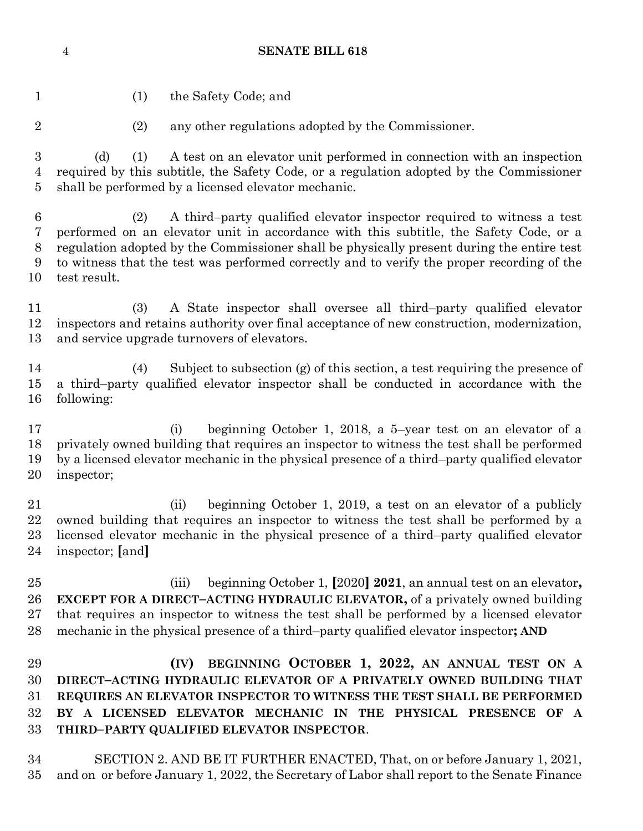**SENATE BILL 618**

- (1) the Safety Code; and (2) any other regulations adopted by the Commissioner. (d) (1) A test on an elevator unit performed in connection with an inspection required by this subtitle, the Safety Code, or a regulation adopted by the Commissioner shall be performed by a licensed elevator mechanic. (2) A third–party qualified elevator inspector required to witness a test performed on an elevator unit in accordance with this subtitle, the Safety Code, or a regulation adopted by the Commissioner shall be physically present during the entire test to witness that the test was performed correctly and to verify the proper recording of the test result. (3) A State inspector shall oversee all third–party qualified elevator inspectors and retains authority over final acceptance of new construction, modernization, and service upgrade turnovers of elevators. (4) Subject to subsection (g) of this section, a test requiring the presence of a third–party qualified elevator inspector shall be conducted in accordance with the following: (i) beginning October 1, 2018, a 5–year test on an elevator of a privately owned building that requires an inspector to witness the test shall be performed by a licensed elevator mechanic in the physical presence of a third–party qualified elevator inspector; (ii) beginning October 1, 2019, a test on an elevator of a publicly owned building that requires an inspector to witness the test shall be performed by a licensed elevator mechanic in the physical presence of a third–party qualified elevator inspector; **[**and**]** (iii) beginning October 1, **[**2020**] 2021**, an annual test on an elevator**, EXCEPT FOR A DIRECT–ACTING HYDRAULIC ELEVATOR,** of a privately owned building that requires an inspector to witness the test shall be performed by a licensed elevator mechanic in the physical presence of a third–party qualified elevator inspector**; AND (IV) BEGINNING OCTOBER 1, 2022, AN ANNUAL TEST ON A DIRECT–ACTING HYDRAULIC ELEVATOR OF A PRIVATELY OWNED BUILDING THAT REQUIRES AN ELEVATOR INSPECTOR TO WITNESS THE TEST SHALL BE PERFORMED BY A LICENSED ELEVATOR MECHANIC IN THE PHYSICAL PRESENCE OF A**
- **THIRD–PARTY QUALIFIED ELEVATOR INSPECTOR**.
- SECTION 2. AND BE IT FURTHER ENACTED, That, on or before January 1, 2021, and on or before January 1, 2022, the Secretary of Labor shall report to the Senate Finance